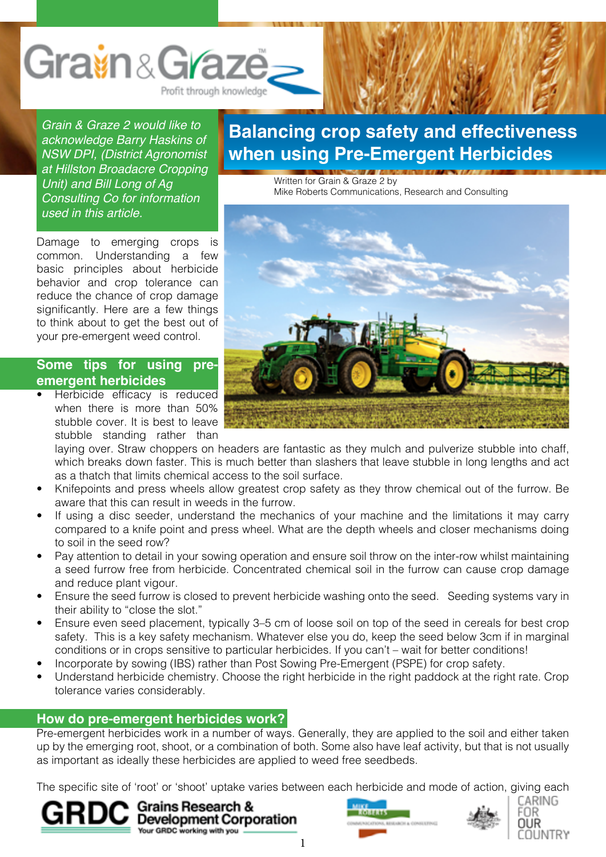

*Grain & Graze 2 would like to acknowledge Barry Haskins of NSW DPI, (District Agronomist at Hillston Broadacre Cropping Unit) and Bill Long of Ag Consulting Co for information used in this article.*

Damage to emerging crops is common. Understanding a few basic principles about herbicide behavior and crop tolerance can reduce the chance of crop damage significantly. Here are a few things to think about to get the best out of your pre-emergent weed control.

#### **Some tips for using preemergent herbicides**

Herbicide efficacy is reduced when there is more than 50% stubble cover. It is best to leave stubble standing rather than

# **Balancing crop safety and effectiveness when using Pre-Emergent Herbicides**

Written for Grain & Graze 2 by Mike Roberts Communications, Research and Consulting



laying over. Straw choppers on headers are fantastic as they mulch and pulverize stubble into chaff, which breaks down faster. This is much better than slashers that leave stubble in long lengths and act as a thatch that limits chemical access to the soil surface.

- Knifepoints and press wheels allow greatest crop safety as they throw chemical out of the furrow. Be aware that this can result in weeds in the furrow.
- If using a disc seeder, understand the mechanics of your machine and the limitations it may carry compared to a knife point and press wheel. What are the depth wheels and closer mechanisms doing to soil in the seed row?
- Pay attention to detail in your sowing operation and ensure soil throw on the inter-row whilst maintaining a seed furrow free from herbicide. Concentrated chemical soil in the furrow can cause crop damage and reduce plant vigour.
- Ensure the seed furrow is closed to prevent herbicide washing onto the seed. Seeding systems vary in their ability to "close the slot."
- Ensure even seed placement, typically 3–5 cm of loose soil on top of the seed in cereals for best crop safety. This is a key safety mechanism. Whatever else you do, keep the seed below 3cm if in marginal conditions or in crops sensitive to particular herbicides. If you can't – wait for better conditions!
- Incorporate by sowing (IBS) rather than Post Sowing Pre-Emergent (PSPE) for crop safety.
- Understand herbicide chemistry. Choose the right herbicide in the right paddock at the right rate. Crop tolerance varies considerably.

# **How do pre-emergent herbicides work?**

Pre-emergent herbicides work in a number of ways. Generally, they are applied to the soil and either taken up by the emerging root, shoot, or a combination of both. Some also have leaf activity, but that is not usually as important as ideally these herbicides are applied to weed free seedbeds.

The specific site of 'root' or 'shoot' uptake varies between each herbicide and mode of action, giving each









1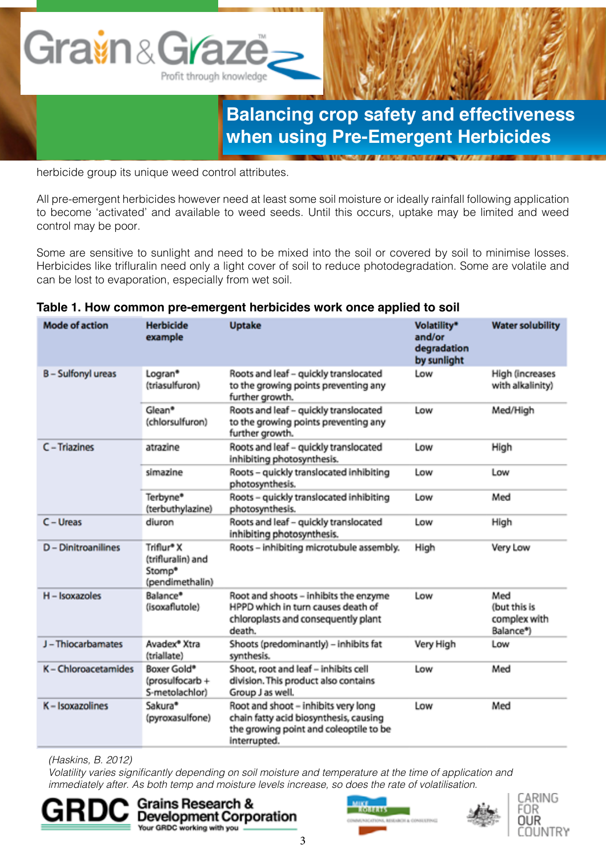

herbicide group its unique weed control attributes.

All pre-emergent herbicides however need at least some soil moisture or ideally rainfall following application to become 'activated' and available to weed seeds. Until this occurs, uptake may be limited and weed control may be poor.

Some are sensitive to sunlight and need to be mixed into the soil or covered by soil to minimise losses. Herbicides like trifluralin need only a light cover of soil to reduce photodegradation. Some are volatile and can be lost to evaporation, especially from wet soil.

| <b>Mode of action</b>     | <b>Herbicide</b><br>example                                              | <b>Uptake</b>                                                                                                                           | Volatility*<br>and/or<br>degradation<br>by sunlight | <b>Water solubility</b>                          |
|---------------------------|--------------------------------------------------------------------------|-----------------------------------------------------------------------------------------------------------------------------------------|-----------------------------------------------------|--------------------------------------------------|
| <b>B</b> - Sulfonyl ureas | Logran <sup>®</sup><br>(triasulfuron)                                    | Roots and leaf - quickly translocated<br>to the growing points preventing any<br>further growth.                                        | Low                                                 | High (increases<br>with alkalinity)              |
|                           | Glean*<br>(chlorsulfuron)                                                | Roots and leaf - quickly translocated<br>to the growing points preventing any<br>further growth.                                        | Low                                                 | Med/High                                         |
| C - Triazines             | atrazine                                                                 | Roots and leaf - quickly translocated<br>inhibiting photosynthesis.                                                                     | Low                                                 | High                                             |
|                           | simazine                                                                 | Roots - quickly translocated inhibiting<br>photosynthesis.                                                                              | Low                                                 | Low                                              |
|                           | Terbyne*<br>(terbuthylazine)                                             | Roots - quickly translocated inhibiting<br>photosynthesis.                                                                              | Low                                                 | Med                                              |
| $C - U$ reas              | diuron                                                                   | Roots and leaf - quickly translocated<br>inhibiting photosynthesis.                                                                     | Low                                                 | High                                             |
| D - Dinitroanilines       | Triflur* X<br>(trifluralin) and<br>Stomp <sup>®</sup><br>(pendimethalin) | Roots - inhibiting microtubule assembly.                                                                                                | High                                                | Very Low                                         |
| H - Isoxazoles            | Balance*<br>(isoxaflutole)                                               | Root and shoots - inhibits the enzyme<br>HPPD which in turn causes death of<br>chloroplasts and consequently plant<br>death.            | Low                                                 | Med<br>(but this is<br>complex with<br>Balance*) |
| J-Thiocarbamates          | Avadex <sup>®</sup> Xtra<br>(triallate)                                  | Shoots (predominantly) - inhibits fat<br>synthesis.                                                                                     | Very High                                           | Low                                              |
| K - Chloroacetamides      | Boxer Gold*<br>(prosulfocarb +<br>S-metolachlor)                         | Shoot, root and leaf - inhibits cell<br>division. This product also contains<br>Group J as well.                                        | Low                                                 | Med                                              |
| K - Isoxazolines          | Sakura*<br>(pyroxasulfone)                                               | Root and shoot - inhibits very long<br>chain fatty acid biosynthesis, causing<br>the growing point and coleoptile to be<br>interrupted. | Low                                                 | Med                                              |

#### **Table 1. How common pre-emergent herbicides work once applied to soil**

*(Haskins, B. 2012)*

Volatility varies significantly depending on soil moisture and temperature at the time of application and immediately after. As both temp and moisture levels increase, so does the rate of volatilisation.







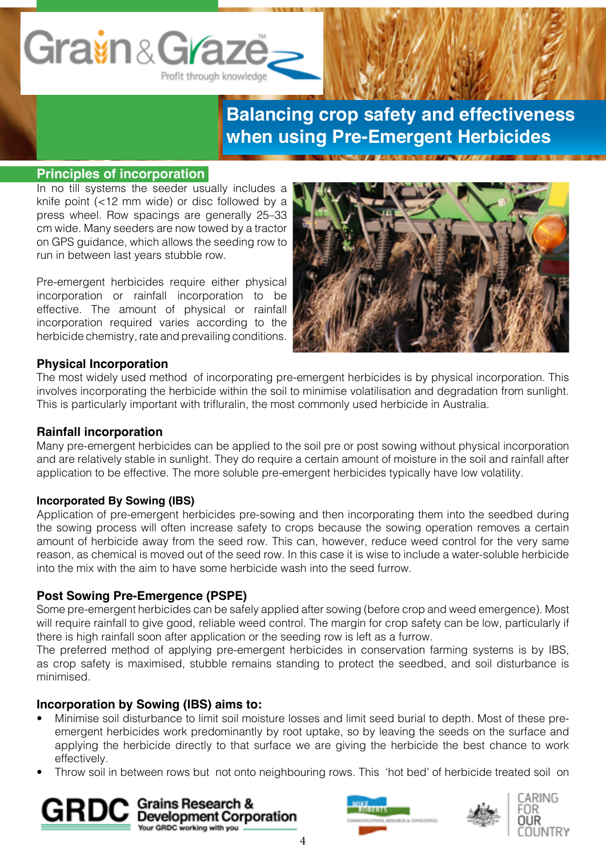

#### **Principles of incorporation**

In no till systems the seeder usually includes a knife point (<12 mm wide) or disc followed by a press wheel. Row spacings are generally 25–33 cm wide. Many seeders are now towed by a tractor on GPS guidance, which allows the seeding row to run in between last years stubble row.

Pre-emergent herbicides require either physical incorporation or rainfall incorporation to be effective. The amount of physical or rainfall incorporation required varies according to the herbicide chemistry, rate and prevailing conditions.



#### **Physical Incorporation**

The most widely used method of incorporating pre-emergent herbicides is by physical incorporation. This involves incorporating the herbicide within the soil to minimise volatilisation and degradation from sunlight. This is particularly important with trifluralin, the most commonly used herbicide in Australia.

#### **Rainfall incorporation**

Many pre-emergent herbicides can be applied to the soil pre or post sowing without physical incorporation and are relatively stable in sunlight. They do require a certain amount of moisture in the soil and rainfall after application to be effective. The more soluble pre-emergent herbicides typically have low volatility.

#### **Incorporated By Sowing (IBS)**

Application of pre-emergent herbicides pre-sowing and then incorporating them into the seedbed during the sowing process will often increase safety to crops because the sowing operation removes a certain amount of herbicide away from the seed row. This can, however, reduce weed control for the very same reason, as chemical is moved out of the seed row. In this case it is wise to include a water-soluble herbicide into the mix with the aim to have some herbicide wash into the seed furrow.

#### **Post Sowing Pre-Emergence (PSPE)**

Some pre-emergent herbicides can be safely applied after sowing (before crop and weed emergence). Most will require rainfall to give good, reliable weed control. The margin for crop safety can be low, particularly if there is high rainfall soon after application or the seeding row is left as a furrow.

The preferred method of applying pre-emergent herbicides in conservation farming systems is by IBS, as crop safety is maximised, stubble remains standing to protect the seedbed, and soil disturbance is minimised.

#### **Incorporation by Sowing (IBS) aims to:**

- Minimise soil disturbance to limit soil moisture losses and limit seed burial to depth. Most of these preemergent herbicides work predominantly by root uptake, so by leaving the seeds on the surface and applying the herbicide directly to that surface we are giving the herbicide the best chance to work effectively.
- Throw soil in between rows but not onto neighbouring rows. This 'hot bed' of herbicide treated soil on





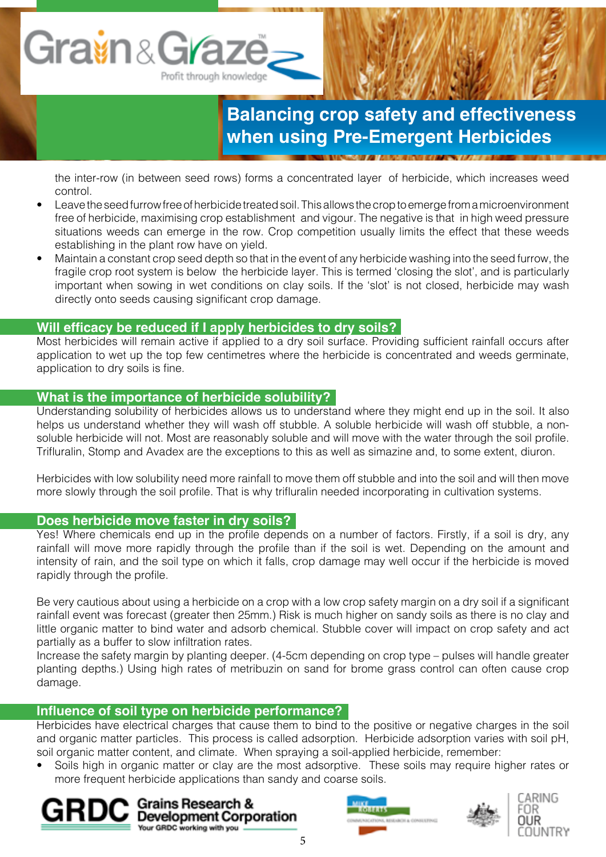the inter-row (in between seed rows) forms a concentrated layer of herbicide, which increases weed control.

- Leave the seed furrow free of herbicide treated soil. This allows the crop to emerge from a microenvironment free of herbicide, maximising crop establishment and vigour. The negative is that in high weed pressure situations weeds can emerge in the row. Crop competition usually limits the effect that these weeds establishing in the plant row have on yield.
- Maintain a constant crop seed depth so that in the event of any herbicide washing into the seed furrow, the fragile crop root system is below the herbicide layer. This is termed 'closing the slot', and is particularly important when sowing in wet conditions on clay soils. If the 'slot' is not closed, herbicide may wash directly onto seeds causing significant crop damage.

# **Will efficacy be reduced if I apply herbicides to dry soils?**

Most herbicides will remain active if applied to a dry soil surface. Providing sufficient rainfall occurs after application to wet up the top few centimetres where the herbicide is concentrated and weeds germinate, application to dry soils is fine.

### **What is the importance of herbicide solubility?**

Understanding solubility of herbicides allows us to understand where they might end up in the soil. It also helps us understand whether they will wash off stubble. A soluble herbicide will wash off stubble, a nonsoluble herbicide will not. Most are reasonably soluble and will move with the water through the soil profile. Trifluralin, Stomp and Avadex are the exceptions to this as well as simazine and, to some extent, diuron.

Herbicides with low solubility need more rainfall to move them off stubble and into the soil and will then move more slowly through the soil profile. That is why trifluralin needed incorporating in cultivation systems.

#### **Does herbicide move faster in dry soils?**

Yes! Where chemicals end up in the profile depends on a number of factors. Firstly, if a soil is dry, any rainfall will move more rapidly through the profile than if the soil is wet. Depending on the amount and intensity of rain, and the soil type on which it falls, crop damage may well occur if the herbicide is moved rapidly through the profile.

Be very cautious about using a herbicide on a crop with a low crop safety margin on a dry soil if a significant rainfall event was forecast (greater then 25mm.) Risk is much higher on sandy soils as there is no clay and little organic matter to bind water and adsorb chemical. Stubble cover will impact on crop safety and act partially as a buffer to slow infiltration rates.

Increase the safety margin by planting deeper. (4-5cm depending on crop type – pulses will handle greater planting depths.) Using high rates of metribuzin on sand for brome grass control can often cause crop damage.

#### **Influence of soil type on herbicide performance?**

Herbicides have electrical charges that cause them to bind to the positive or negative charges in the soil and organic matter particles. This process is called adsorption. Herbicide adsorption varies with soil pH, soil organic matter content, and climate. When spraying a soil-applied herbicide, remember:

Soils high in organic matter or clay are the most adsorptive. These soils may require higher rates or more frequent herbicide applications than sandy and coarse soils.





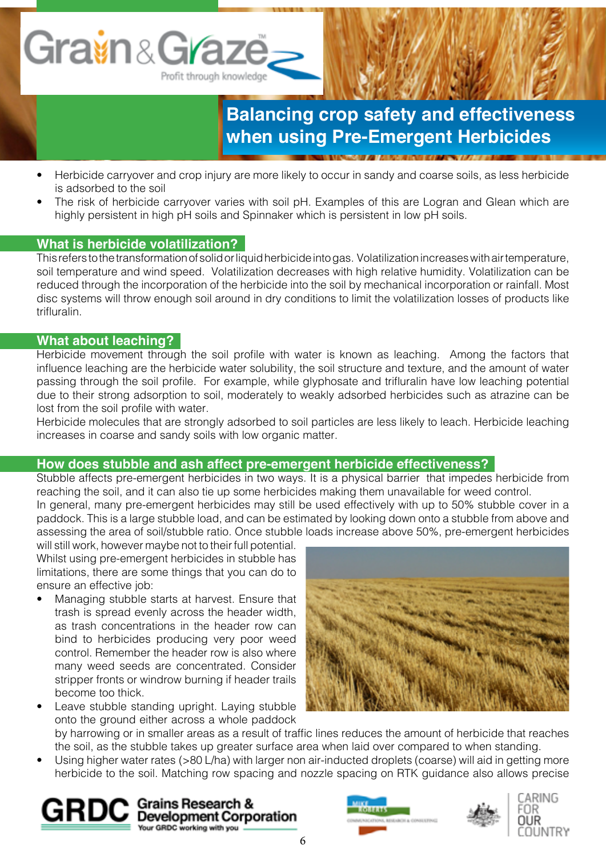

- Herbicide carryover and crop injury are more likely to occur in sandy and coarse soils, as less herbicide is adsorbed to the soil
- The risk of herbicide carryover varies with soil pH. Examples of this are Logran and Glean which are highly persistent in high pH soils and Spinnaker which is persistent in low pH soils.

# **What is herbicide volatilization?**

This refers to the transformation of solid or liquid herbicide into gas. Volatilization increases with air temperature, soil temperature and wind speed. Volatilization decreases with high relative humidity. Volatilization can be reduced through the incorporation of the herbicide into the soil by mechanical incorporation or rainfall. Most disc systems will throw enough soil around in dry conditions to limit the volatilization losses of products like trifluralin.

#### **What about leaching?**

Herbicide movement through the soil profile with water is known as leaching. Among the factors that influence leaching are the herbicide water solubility, the soil structure and texture, and the amount of water passing through the soil profile. For example, while glyphosate and trifluralin have low leaching potential due to their strong adsorption to soil, moderately to weakly adsorbed herbicides such as atrazine can be lost from the soil profile with water.

Herbicide molecules that are strongly adsorbed to soil particles are less likely to leach. Herbicide leaching increases in coarse and sandy soils with low organic matter.

# **How does stubble and ash affect pre-emergent herbicide effectiveness?**

Stubble affects pre-emergent herbicides in two ways. It is a physical barrier that impedes herbicide from reaching the soil, and it can also tie up some herbicides making them unavailable for weed control.

In general, many pre-emergent herbicides may still be used effectively with up to 50% stubble cover in a paddock. This is a large stubble load, and can be estimated by looking down onto a stubble from above and assessing the area of soil/stubble ratio. Once stubble loads increase above 50%, pre-emergent herbicides

will still work, however maybe not to their full potential. Whilst using pre-emergent herbicides in stubble has limitations, there are some things that you can do to ensure an effective job:

Managing stubble starts at harvest. Ensure that trash is spread evenly across the header width, as trash concentrations in the header row can bind to herbicides producing very poor weed control. Remember the header row is also where many weed seeds are concentrated. Consider stripper fronts or windrow burning if header trails become too thick.

Leave stubble standing upright. Laying stubble onto the ground either across a whole paddock



by harrowing or in smaller areas as a result of traffic lines reduces the amount of herbicide that reaches the soil, as the stubble takes up greater surface area when laid over compared to when standing.

• Using higher water rates (>80 L/ha) with larger non air-inducted droplets (coarse) will aid in getting more herbicide to the soil. Matching row spacing and nozzle spacing on RTK guidance also allows precise







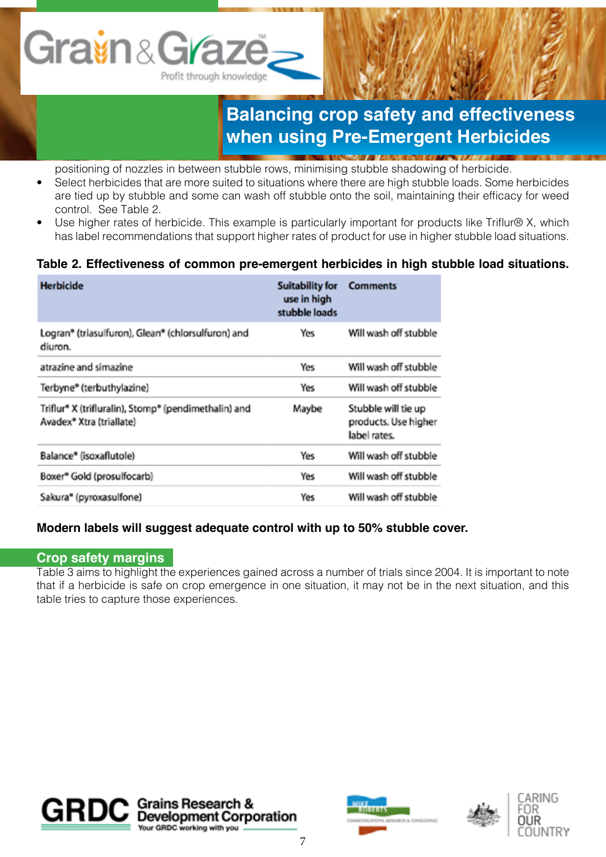# Grain&Graze Profit through knowledge

# **Balancing crop safety and effectiveness when using Pre-Emergent Herbicides**

**Northern Progress and Committee Committee Committee** 

positioning of nozzles in between stubble rows, minimising stubble shadowing of herbicide.

- Select herbicides that are more suited to situations where there are high stubble loads. Some herbicides are tied up by stubble and some can wash off stubble onto the soil, maintaining their efficacy for weed control. See Table 2.
- Use higher rates of herbicide. This example is particularly important for products like Triflur® X, which has label recommendations that support higher rates of product for use in higher stubble load situations.

# **Table 2. Effectiveness of common pre-emergent herbicides in high stubble load situations.**

| <b>Herbicide</b>                                                                             | <b>Suitability for</b><br>use in high<br>stubble loads | <b>Comments</b>                                             |
|----------------------------------------------------------------------------------------------|--------------------------------------------------------|-------------------------------------------------------------|
| Logran® (triasulfuron), Glean® (chlorsulfuron) and<br>diuron.                                | Yes                                                    | Will wash off stubble                                       |
| atrazine and simazine                                                                        | Yes                                                    | Will wash off stubble                                       |
| Terbyne® (terbuthylazine)                                                                    | Yes                                                    | Will wash off stubble                                       |
| Triflur* X (trifluralin), Stomp* (pendimethalin) and<br>Avadex <sup>®</sup> Xtra (triallate) | Maybe                                                  | Stubble will tie up<br>products. Use higher<br>label rates. |
| Balance® (isoxaflutole)                                                                      | Yes                                                    | Will wash off stubble                                       |
| Boxer® Gold (prosulfocarb)                                                                   | Yes                                                    | Will wash off stubble                                       |
| Sakura <sup>®</sup> (pyroxasulfone)                                                          | Yes                                                    | Will wash off stubble                                       |

# **Modern labels will suggest adequate control with up to 50% stubble cover.**

#### **Crop safety margins**

Table 3 aims to highlight the experiences gained across a number of trials since 2004. It is important to note that if a herbicide is safe on crop emergence in one situation, it may not be in the next situation, and this table tries to capture those experiences.